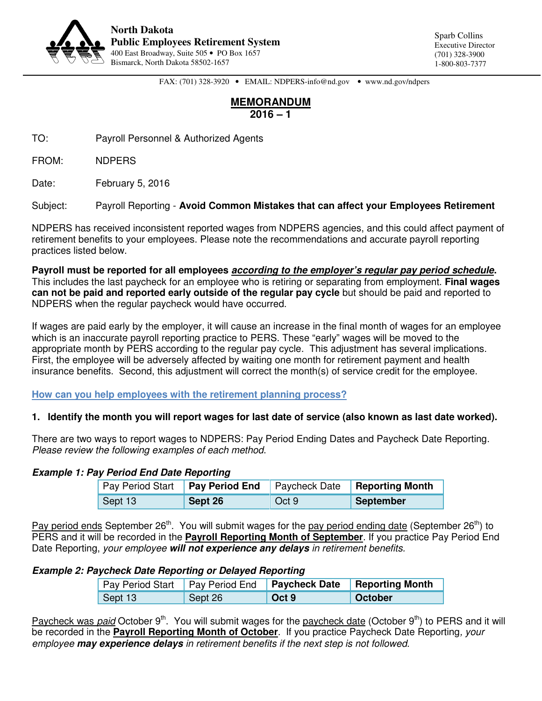

FAX: (701) 328-3920 • EMAIL: NDPERS-info@nd.gov • www.nd.gov/ndpers

# **MEMORANDUM 2016 – 1**

TO: Payroll Personnel & Authorized Agents

FROM: NDPERS

Date: February 5, 2016

Subject: Payroll Reporting - **Avoid Common Mistakes that can affect your Employees Retirement** 

NDPERS has received inconsistent reported wages from NDPERS agencies, and this could affect payment of retirement benefits to your employees. Please note the recommendations and accurate payroll reporting practices listed below.

**Payroll must be reported for all employees according to the employer's regular pay period schedule.** This includes the last paycheck for an employee who is retiring or separating from employment. **Final wages can not be paid and reported early outside of the regular pay cycle** but should be paid and reported to NDPERS when the regular paycheck would have occurred.

If wages are paid early by the employer, it will cause an increase in the final month of wages for an employee which is an inaccurate payroll reporting practice to PERS. These "early" wages will be moved to the appropriate month by PERS according to the regular pay cycle. This adjustment has several implications. First, the employee will be adversely affected by waiting one month for retirement payment and health insurance benefits. Second, this adjustment will correct the month(s) of service credit for the employee.

**How can you help employees with the retirement planning process?** 

### **1. Identify the month you will report wages for last date of service (also known as last date worked).**

There are two ways to report wages to NDPERS: Pay Period Ending Dates and Paycheck Date Reporting. Please review the following examples of each method.

### **Example 1: Pay Period End Date Reporting**

|         |         |       | Pay Period Start   Pay Period End   Paycheck Date   Reporting Month |
|---------|---------|-------|---------------------------------------------------------------------|
| Sept 13 | Sept 26 | Oct 9 | <b>September</b>                                                    |

Pay period ends September 26<sup>th</sup>. You will submit wages for the pay period ending date (September 26<sup>th</sup>) to PERS and it will be recorded in the **Payroll Reporting Month of September**. If you practice Pay Period End Date Reporting, your employee **will not experience any delays** in retirement benefits.

### **Example 2: Paycheck Date Reporting or Delayed Reporting**

| Pay Period Start   Pay Period End   Paycheck Date   Reporting Month |         |       |         |
|---------------------------------------------------------------------|---------|-------|---------|
| $\vert$ Sept 13                                                     | Sept 26 | Oct 9 | October |

Paycheck was *paid* October  $9<sup>th</sup>$ . You will submit wages for the paycheck date (October  $9<sup>th</sup>$ ) to PERS and it will be recorded in the **Payroll Reporting Month of October**. If you practice Paycheck Date Reporting, your employee **may experience delays** in retirement benefits if the next step is not followed.